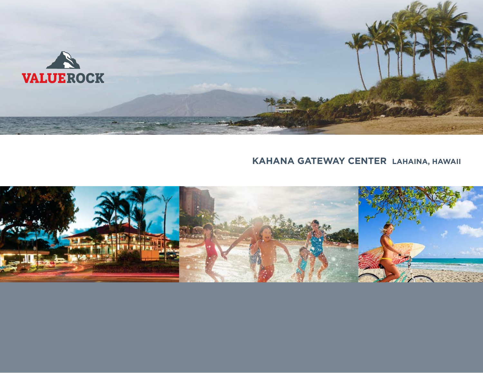

# **kahana Gateway Center Lahaina, Hawaii**

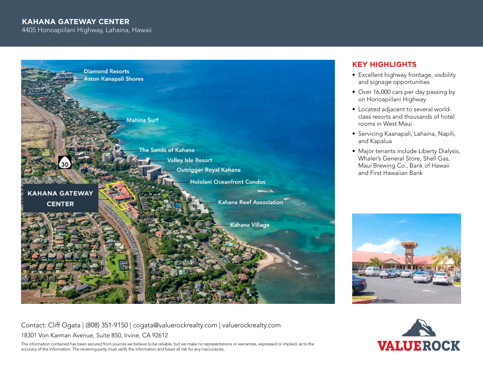## **kahana Gateway Center**

4405 Honoapiilani Highway, Lahaina, Hawaii



# **Key Highlights**

- Excellent highway frontage, visibility and signage opportunities
- Over 16,000 cars per day passing by on Honoapiilani Highway
- Located adjacent to several worldclass resorts and thousands of hotel rooms in West Maui
- • Servicing Kaanapali, Lahaina, Napili, and Kapalua
- Major tenants include Liberty Dialysis, Whaler's General Store, Shell Gas, Maui Brewing Co., Bank of Hawaii and First Hawaiian Bank



Contact: Cliff Ogata | (808) 351-9150 | cogata@valuerockrealty.com | valuerockrealty.com

18301 Von Karman Avenue, Suite 850, Irvine, CA 92612

The information contained has been secured from sources we believe to be reliable, but we make no representations or warranties, expressed or implied, as to the accuracy of the information. The receiving party must verify the information and bears all risk for any inaccuracies.

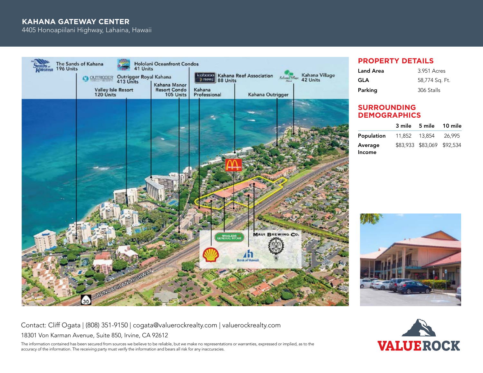## **kahana Gateway Center**

4405 Honoapiilani Highway, Lahaina, Hawaii



#### **property details**

| Land Area | 3.951 Acres    |  |
|-----------|----------------|--|
| GLA       | 58,774 Sq. Ft. |  |
| Parking   | 306 Stalls     |  |

#### **Surrounding demographics**

|               |               | 3 mile 5 mile 10 mile      |        |
|---------------|---------------|----------------------------|--------|
| Population    | 11.852 13.854 |                            | 26.995 |
| Average       |               | \$83,933 \$83,069 \$92,534 |        |
| <b>Income</b> |               |                            |        |



Contact: Cliff Ogata | (808) 351-9150 | cogata@valuerockrealty.com | valuerockrealty.com

18301 Von Karman Avenue, Suite 850, Irvine, CA 92612

The information contained has been secured from sources we believe to be reliable, but we make no representations or warranties, expressed or implied, as to the accuracy of the information. The receiving party must verify the information and bears all risk for any inaccuracies.